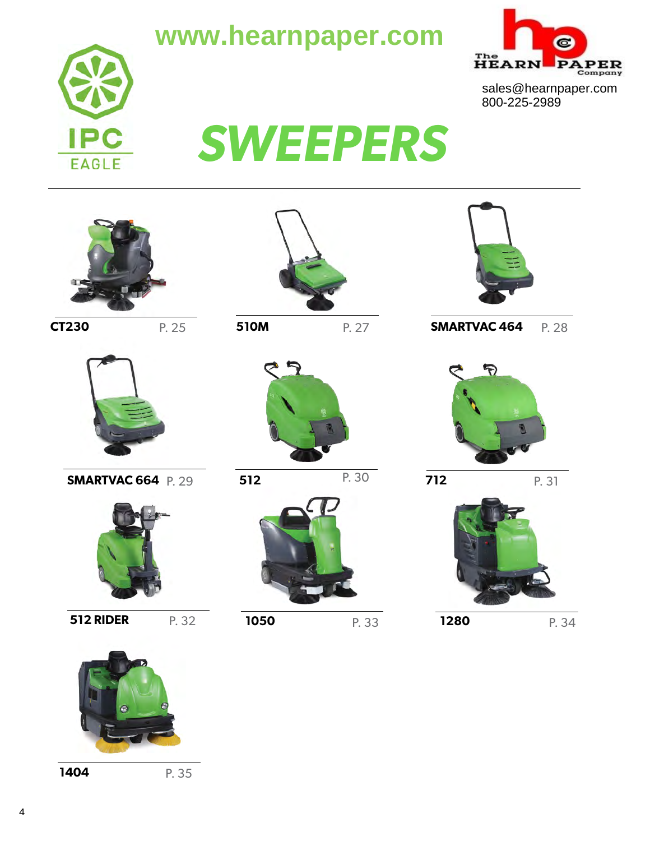### **www.hearnpaper.com**





sales@hearnpaper.com 800-225-2989

# *SWEEPERS*







P. 27



**SMARTVAC 664 P. 29** 



P. 32 **512 RIDER**



**512** P. 30



P. 33

**1050**



**CT230 P. 25 SIOM P. 27 SMARTVAC 464 P. 28** 



P. 31 **712**



**1280**

P. 34



**1404**

P. 35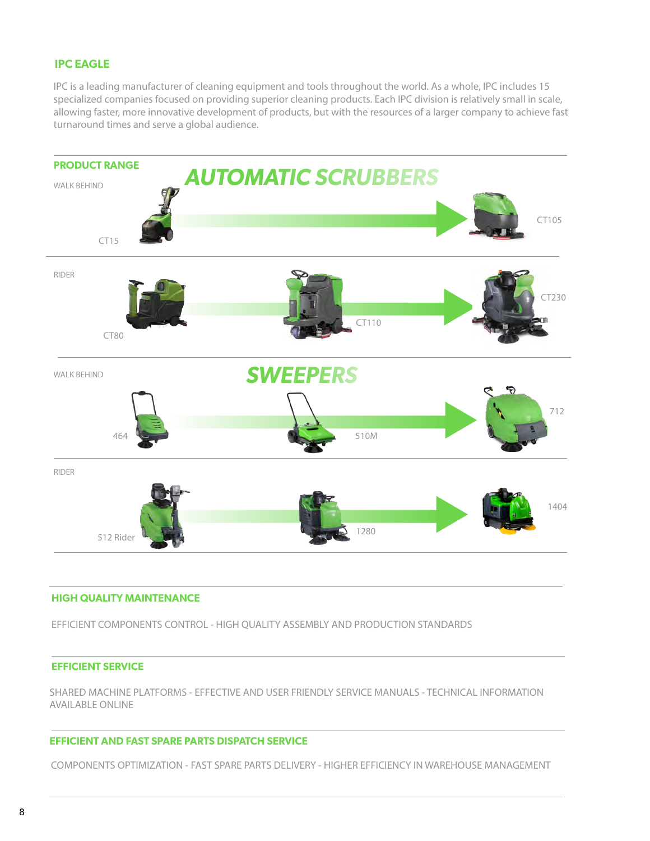#### **IPC EAGLE**

IPC is a leading manufacturer of cleaning equipment and tools throughout the world. As a whole, IPC includes 15 specialized companies focused on providing superior cleaning products. Each IPC division is relatively small in scale, allowing faster, more innovative development of products, but with the resources of a larger company to achieve fast turnaround times and serve a global audience.



#### **HIGH QUALITY MAINTENANCE**

EFFICIENT COMPONENTS CONTROL - HIGH QUALITY ASSEMBLY AND PRODUCTION STANDARDS

#### **EFFICIENT SERVICE**

SHARED MACHINE PLATFORMS - EFFECTIVE AND USER FRIENDLY SERVICE MANUALS - TECHNICAL INFORMATION AVAILABLE ONLINE

#### **EFFICIENT AND FAST SPARE PARTS DISPATCH SERVICE**

COMPONENTS OPTIMIZATION - FAST SPARE PARTS DELIVERY - HIGHER EFFICIENCY IN WAREHOUSE MANAGEMENT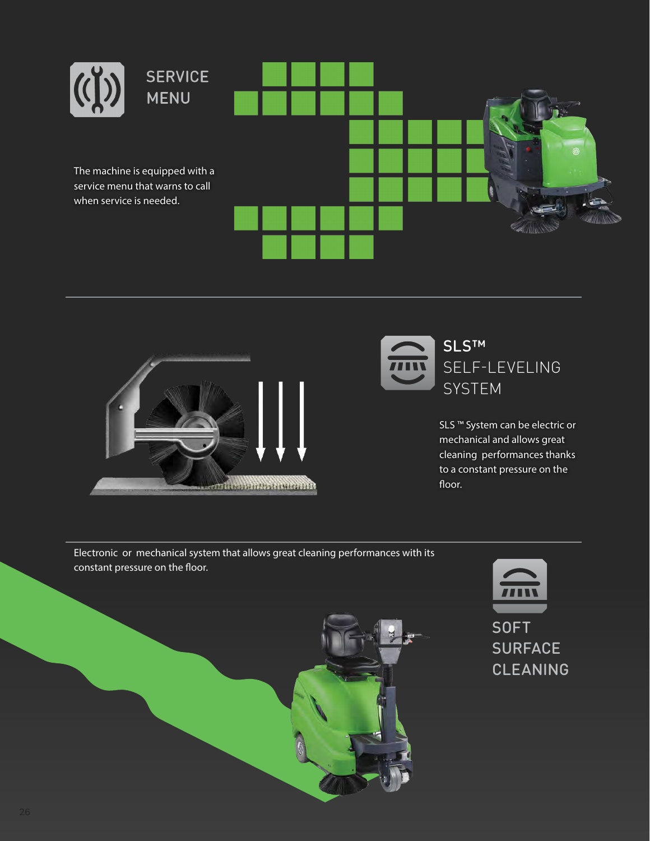





SLS ™ System can be electric or mechanical and allows great cleaning performances thanks to a constant pressure on the floor.

Electronic or mechanical system that allows great cleaning performances with its constant pressure on the floor.

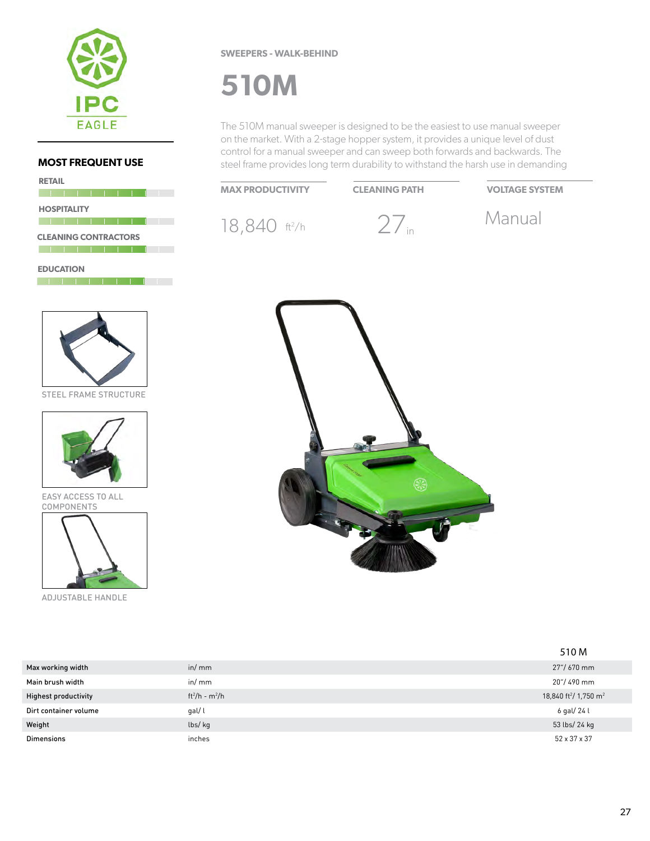

| <b>RETAIL</b>               |
|-----------------------------|
|                             |
| <b>HOSPITALITY</b>          |
|                             |
| <b>CLEANING CONTRACTORS</b> |
|                             |
| <b>EDUCATION</b>            |



STEEL FRAME STRUCTURE



EASY ACCESS TO ALL COMPONENTS



ADJUSTABLE HANDLE

#### **SWEEPERS - WALK-BEHIND**

### **510M**

The 510M manual sweeper is designed to be the easiest to use manual sweeper on the market. With a 2-stage hopper system, it provides a unique level of dust control for a manual sweeper and can sweep both forwards and backwards. The steel frame provides long term durability to withstand the harsh use in demanding

#### **MAX PRODUCTIVITY**

**CLEANING PATH VOLTAGE SYSTEM**

18,840 ft<sup>2/h</sup> 27<sub>in</sub> Manual

 $27<sub>in</sub>$ 





|                             |                  | 510 M                                         |
|-----------------------------|------------------|-----------------------------------------------|
| Max working width           | in/mm            | 27"/ 670 mm                                   |
| Main brush width            | in/mm            | 20"/490 mm                                    |
| <b>Highest productivity</b> | $ft^2/h - m^2/h$ | 18,840 ft <sup>2</sup> / 1,750 m <sup>2</sup> |
| Dirt container volume       | gal/l            | 6 gal/ 24 l                                   |
| Weight                      | lbs/kg           | 53 lbs/ 24 kg                                 |
| <b>Dimensions</b>           | inches           | 52 x 37 x 37                                  |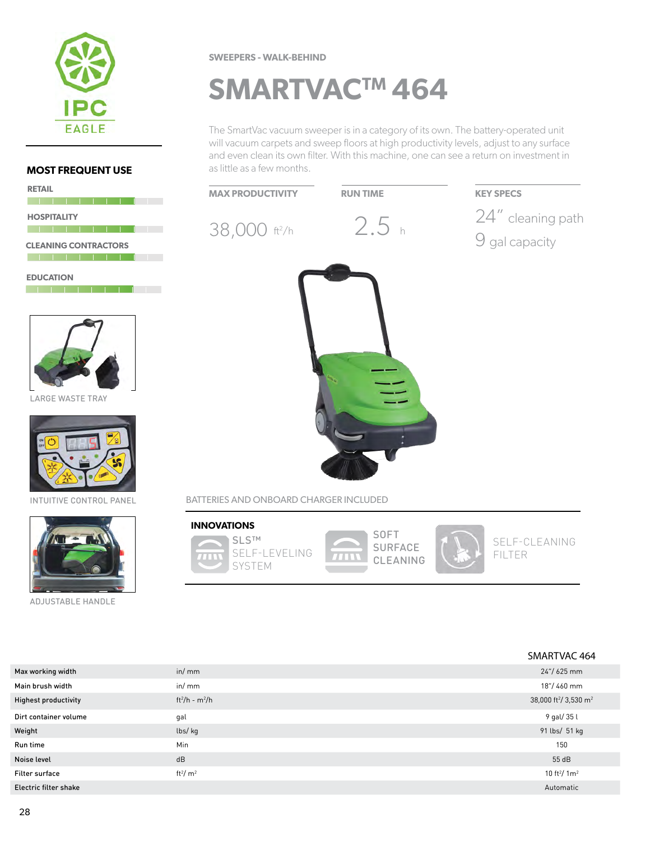

**The Committee of the United States** 

<u> 1999 - Johann Barnett, mart</u>

#### **SWEEPERS - WALK-BEHIND**

## **SMARTVACTM 464**

The SmartVac vacuum sweeper is in a category of its own. The battery-operated unit will vacuum carpets and sweep floors at high productivity levels, adjust to any surface and even clean its own filter. With this machine, one can see a return on investment in as little as a few months.





|                              |                        | SMARTVAC 464                                  |
|------------------------------|------------------------|-----------------------------------------------|
| Max working width            | in/mm                  | 24"/625 mm                                    |
| Main brush width             | in/mm                  | 18"/460 mm                                    |
| <b>Highest productivity</b>  | $ft^2/h - m^2/h$       | 38,000 ft <sup>2</sup> / 3,530 m <sup>2</sup> |
| Dirt container volume        | gal                    | 9 gal/ 35 l                                   |
| Weight                       | lbs/kg                 | 91 lbs/ 51 kg                                 |
| Run time                     | Min                    | 150                                           |
| Noise level                  | dB                     | 55 dB                                         |
| Filter surface               | ft <sup>2</sup> / $m2$ | 10 ft <sup>2</sup> / $1m2$                    |
| <b>Electric filter shake</b> |                        | Automatic                                     |

#### **PERSONAL PROPERTY AND PROPERTY AND I CLEANING CONTRACTORS The second contract of the second contract of the second contract of the second contract of the second contract**

**HOSPITALITY**

**RETAIL**

**EDUCATION**



LARGE WASTE TRAY



INTUITIVE CONTROL PANEL



ADJUSTABLE HANDLE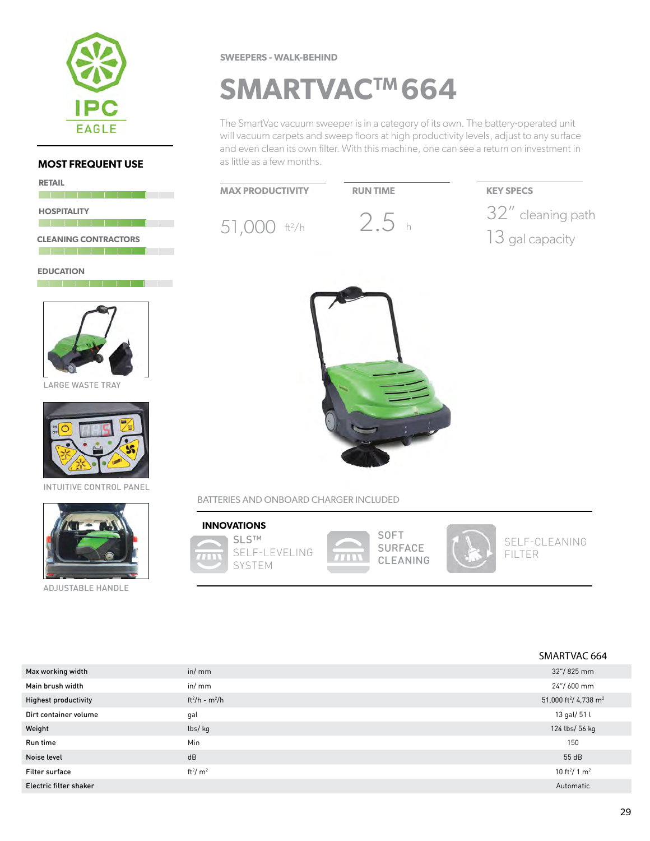

| <b>RETAIL</b>               |  |
|-----------------------------|--|
|                             |  |
| <b>HOSPITALITY</b>          |  |
|                             |  |
| <b>CLEANING CONTRACTORS</b> |  |
|                             |  |
| <b>EDUCATION</b>            |  |
|                             |  |



LARGE WASTE TRAY



INTUITIVE CONTROL PANEL



ADJUSTABLE HANDLE

#### **SWEEPERS - WALK-BEHIND**

### **SMARTVACTM 664**

The SmartVac vacuum sweeper is in a category of its own. The battery-operated unit will vacuum carpets and sweep floors at high productivity levels, adjust to any surface and even clean its own filter. With this machine, one can see a return on investment in as little as a few months.



BATTERIES AND ONBOARD CHARGER INCLUDED



|                             |                        | SMARTVAC 664                                  |
|-----------------------------|------------------------|-----------------------------------------------|
| Max working width           | in/mm                  | 32"/825 mm                                    |
| Main brush width            | in/mm                  | 24"/600 mm                                    |
| <b>Highest productivity</b> | $ft^{2}/h - m^{2}/h$   | 51,000 ft <sup>2</sup> / 4,738 m <sup>2</sup> |
| Dirt container volume       | gal                    | 13 gal/ 51 l                                  |
| Weight                      | lbs/kg                 | 124 lbs/ 56 kg                                |
| Run time                    | <b>Min</b>             | 150                                           |
| Noise level                 | dB                     | 55 dB                                         |
| <b>Filter surface</b>       | ft <sup>2</sup> / $m2$ | 10 ft <sup>2</sup> / 1 m <sup>2</sup>         |
| Electric filter shaker      |                        | Automatic                                     |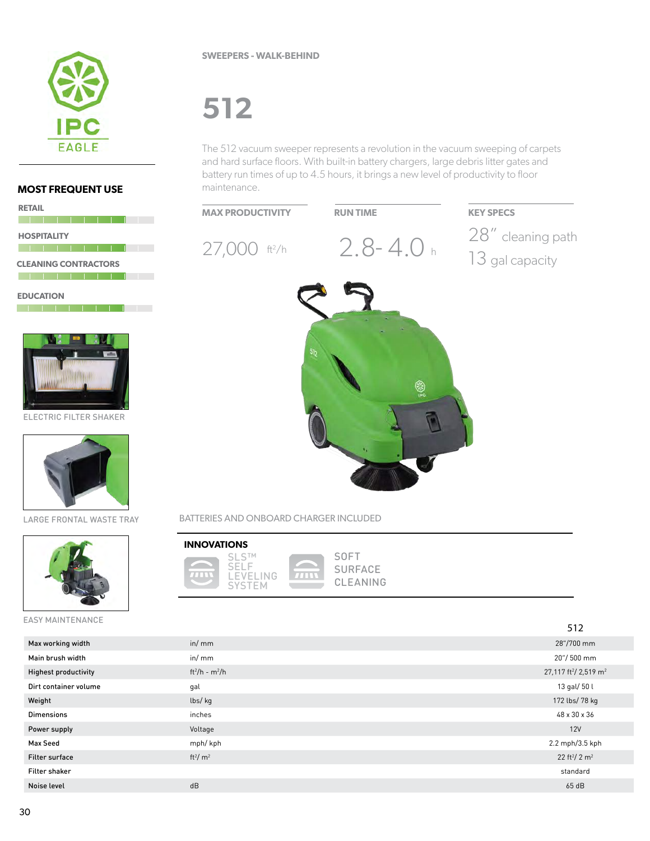

#### **SWEEPERS - WALK-BEHIND**

# **512**

The 512 vacuum sweeper represents a revolution in the vacuum sweeping of carpets and hard surface floors. With built-in battery chargers, large debris litter gates and battery run times of up to 4.5 hours, it brings a new level of productivity to floor maintenance.



BATTERIES AND ONBOARD CHARGER INCLUDED

 $7711$ 

#### **INNOVATIONS**



**SOFT SURFACE** CLEANING

|                             |                        | 512                                           |
|-----------------------------|------------------------|-----------------------------------------------|
| Max working width           | in/mm                  | 28"/700 mm                                    |
| Main brush width            | in/mm                  | 20"/500 mm                                    |
| <b>Highest productivity</b> | $ft^2/h - m^2/h$       | 27,117 ft <sup>2</sup> / 2,519 m <sup>2</sup> |
| Dirt container volume       | gal                    | 13 gal/ 50 l                                  |
| Weight                      | lbs/kg                 | 172 lbs/ 78 kg                                |
| <b>Dimensions</b>           | inches                 | 48 x 30 x 36                                  |
| Power supply                | Voltage                | 12V                                           |
| Max Seed                    | mph/kph                | 2.2 mph/3.5 kph                               |
| <b>Filter surface</b>       | ft <sup>2</sup> / $m2$ | 22 ft <sup>2</sup> / 2 m <sup>2</sup>         |
| <b>Filter shaker</b>        |                        | standard                                      |
| Noise level                 | dB                     | 65 dB                                         |
|                             |                        |                                               |

#### **MOST FREQUENT USE**

| <b>RETAIL</b> |                             |  |  |  |  |
|---------------|-----------------------------|--|--|--|--|
|               |                             |  |  |  |  |
|               | <b>HOSPITALITY</b>          |  |  |  |  |
|               |                             |  |  |  |  |
|               | <b>CLEANING CONTRACTORS</b> |  |  |  |  |
|               |                             |  |  |  |  |

**EDUCATION The Local Contract Contract Contract** 



ELECTRIC FILTER SHAKER



LARGE FRONTAL WASTE TRAY



EASY MAINTENANCE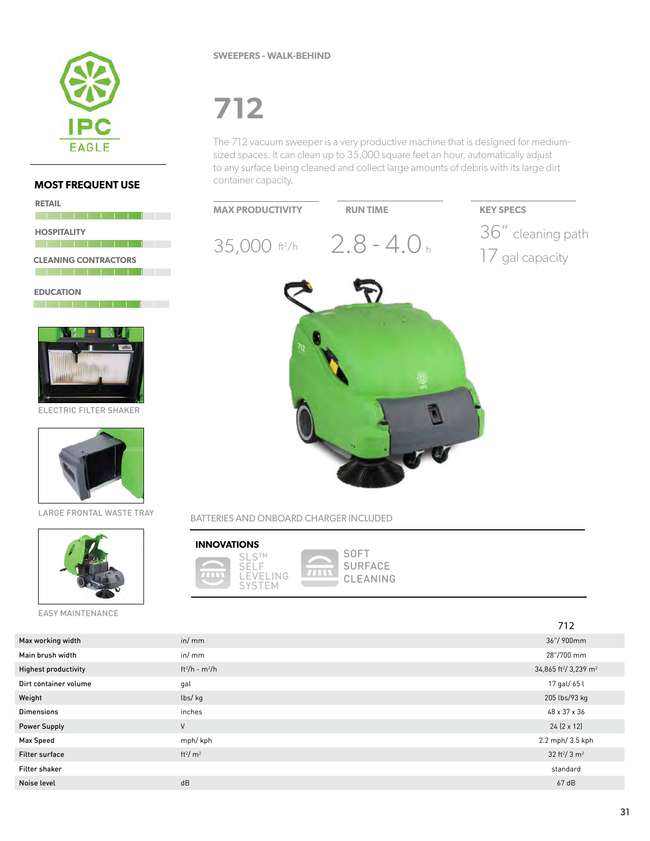

<u> 1964 - Johann Barn, fransk politik (</u>

<u> 1951 - John Harley, frantziar frantziar</u>

<u>a da basa da basa</u> da basa

**AUTO** 

**CLEANING CONTRACTORS**

**RETAIL**

**HOSPITALITY**

**EDUCATION**

#### **SWEEPERS - WALK-BEHIND**

# **712**

The 712 vacuum sweeper is a very productive machine that is designed for mediumsized spaces. It can clean up to 35,000 square feet an hour, automatically adjust to any surface being cleaned and collect large amounts of debris with its large dirt container capacity.



#### BATTERIES AND ONBOARD CHARGER INCLUDED



LARGE FRONTAL WASTE TRAY

ELECTRIC FILTER SHAKER

EASY MAINTENANCE

| INNOVATIONS |                                            |
|-------------|--------------------------------------------|
|             | $S1$ $S1$<br>SEL E<br>I FVFI ING<br>SYSTEM |

**SOFT SURFACE** CLEANING

|                             |                        | 712                                           |
|-----------------------------|------------------------|-----------------------------------------------|
| Max working width           | in/mm                  | 36"/900mm                                     |
| Main brush width            | in/mm                  | 28"/700 mm                                    |
| <b>Highest productivity</b> | $ft^2/h - m^2/h$       | 34,865 ft <sup>2</sup> / 3,239 m <sup>2</sup> |
| Dirt container volume       | gal                    | 17 gal/ 65 l                                  |
| Weight                      | lbs/kg                 | 205 lbs/93 kg                                 |
| <b>Dimensions</b>           | inches                 | 48 x 37 x 36                                  |
| <b>Power Supply</b>         | $\vee$                 | $24(2 \times 12)$                             |
| <b>Max Speed</b>            | mph/kph                | 2.2 mph/ 3.5 kph                              |
| <b>Filter surface</b>       | ft <sup>2</sup> / $m2$ | 32 ft <sup>2</sup> / 3 m <sup>2</sup>         |
| Filter shaker               |                        | standard                                      |
| Noise level                 | dB                     | 67 dB                                         |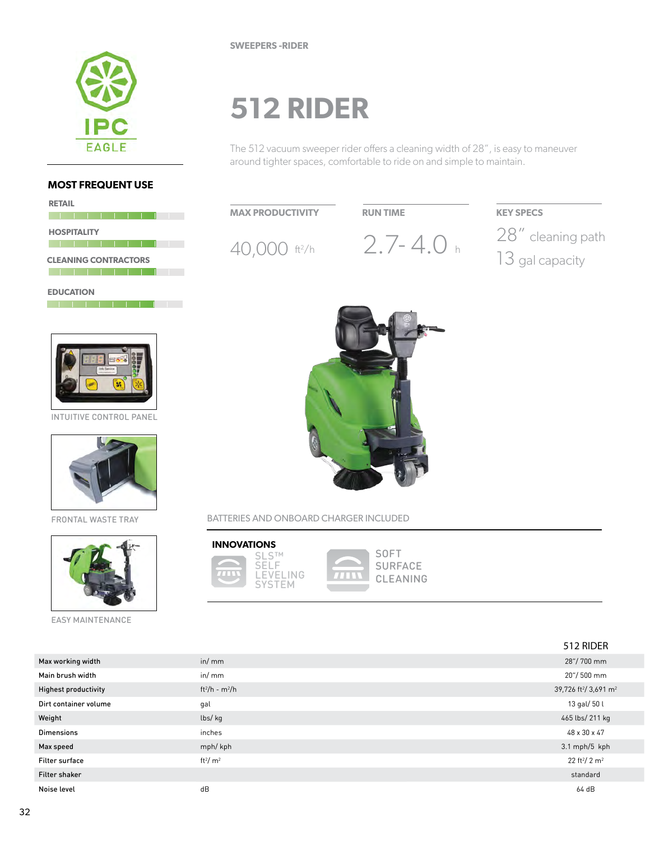

**RETAIL**

# **512 RIDER**

The 512 vacuum sweeper rider offers a cleaning width of 28", is easy to maneuver around tighter spaces, comfortable to ride on and simple to maintain.

40,000 ft<sup>2</sup>/h  $2.7 - 4.0$  h  $^{28}$  cleaning path

**RUN TIME KEY SPECS**

13 gal capacity

#### **MAX PRODUCTIVITY**

|                             | <b>HOSPITALITY</b> |  |  |  |
|-----------------------------|--------------------|--|--|--|
|                             |                    |  |  |  |
| <b>CLEANING CONTRACTORS</b> |                    |  |  |  |
|                             |                    |  |  |  |
| <b>EDUCATION</b>            |                    |  |  |  |



INTUITIVE CONTROL PANEL



FRONTAL WASTE TRAY



EASY MAINTENANCE



BATTERIES AND ONBOARD CHARGER INCLUDED



512 RIDER Max working width in the control of the control of the control of the control of the control of the control of the control of the control of the control of the control of the control of the control of the control of the co Main brush width in/ mm 20"/ 500 mm Highest productivity ft<sup>2</sup>/h - m<sup>2</sup>/h /h  $\,$ 39,726 ft<sup>2</sup>/ 3,691 m<sup>2</sup> Dirt container volume and the state of the gal distribution of the state of the state of the state of the state of the state of the state of the state of the state of the state of the state of the state of the state of the Weight lbs/ kg 465 lbs/ 211 kg Dimensions inches 48 x 30 x 47 Max speed mph/ kph 3.1 mph/5 kph Filter surface ft<sup>2</sup>/ $m^2$  $/m^2$  22 ft<sup>2</sup> 22 ft<sup>2</sup>/ 2 m<sup>2</sup> Filter shaker standard standard standard standard standard standard standard standard standard standard standard Noise level dB 64 dB

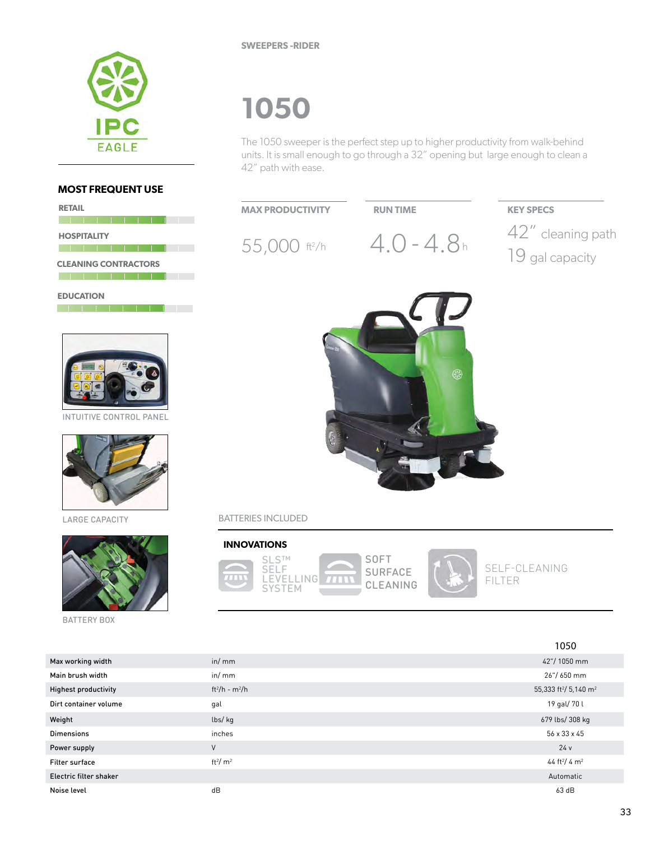

**SWEEPERS -RIDER**

### **1050**

The 1050 sweeper is the perfect step up to higher productivity from walk-behind units. It is small enough to go through a 32" opening but large enough to clean a 42" path with ease.



Electric filter shaker Automatic Noise level dB 63 dB

#### **MOST FREQUENT USE**

**RETAIL HOSPITALITY CLEANING CONTRACTORS**

**EDUCATION** <u> 1981 - Jacob Alexander III (</u>† 1



INTUITIVE CONTROL PANEL



LARGE CAPACITY



BATTERY BOX

Highest productivity

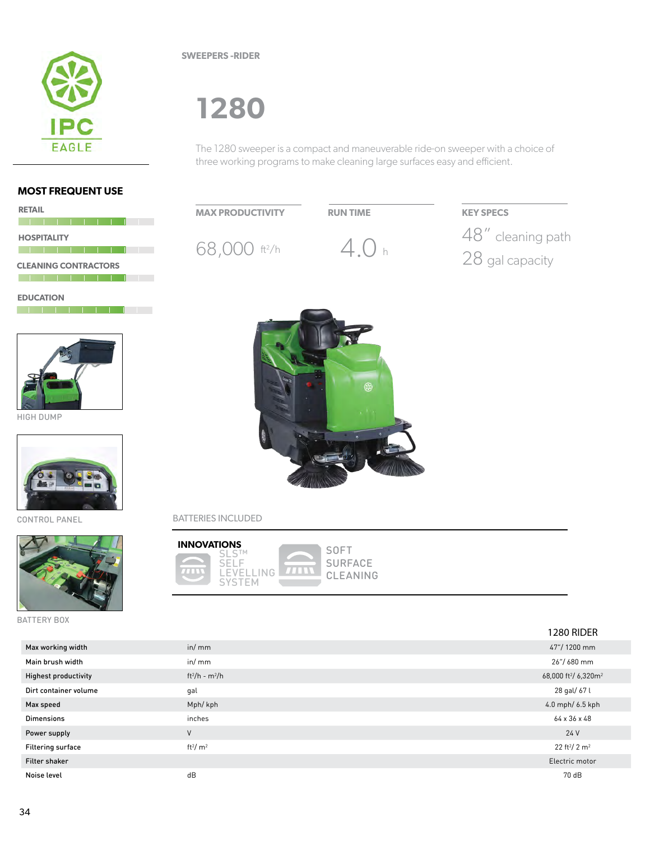

**SWEEPERS -RIDER**

### **1280**

The 1280 sweeper is a compact and maneuverable ride-on sweeper with a choice of three working programs to make cleaning large surfaces easy and efficient.

#### **MOST FREQUENT USE**

| <b>RETAIL</b>               |  |
|-----------------------------|--|
| <b>HOSPITALITY</b>          |  |
|                             |  |
| <b>CLEANING CONTRACTORS</b> |  |
|                             |  |

**EDUCATION** 



HIGH DUMP



CONTROL PANEL



BATTERY BOX





#### BATTERIES INCLUDED



|                             |                        | 1280 RIDER                                   |
|-----------------------------|------------------------|----------------------------------------------|
| Max working width           | in/mm                  | 47"/1200 mm                                  |
| Main brush width            | in/mm                  | 26"/680 mm                                   |
| <b>Highest productivity</b> | $ft^2/h - m^2/h$       | 68,000 ft <sup>2</sup> / 6,320m <sup>2</sup> |
| Dirt container volume       | gal                    | 28 gal/ 67 l                                 |
| Max speed                   | Mph/kph                | 4.0 mph/ 6.5 kph                             |
| <b>Dimensions</b>           | inches                 | 64 x 36 x 48                                 |
| Power supply                | $\vee$                 | 24 V                                         |
| Filtering surface           | ft <sup>2</sup> / $m2$ | 22 ft <sup>2</sup> / 2 m <sup>2</sup>        |
| Filter shaker               |                        | Electric motor                               |
| Noise level                 | dB                     | 70 dB                                        |